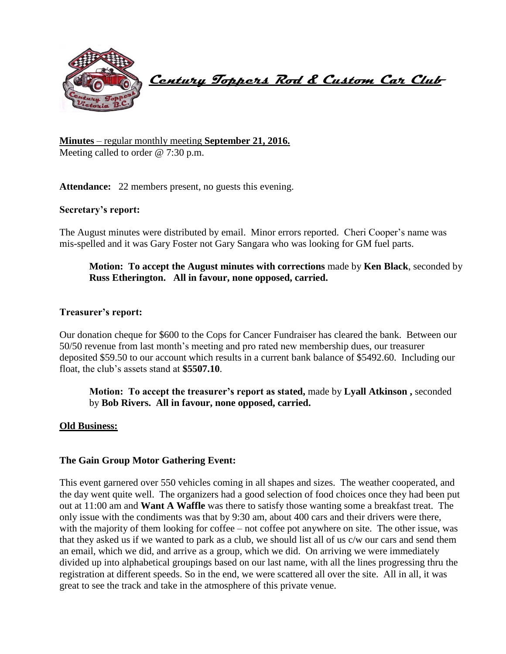

 **Century Toppers Rod & Custom Car Club** 

## **Minutes** – regular monthly meeting **September 21, 2016.** Meeting called to order @ 7:30 p.m.

Attendance: 22 members present, no guests this evening.

## **Secretary's report:**

The August minutes were distributed by email. Minor errors reported. Cheri Cooper's name was mis-spelled and it was Gary Foster not Gary Sangara who was looking for GM fuel parts.

# **Motion: To accept the August minutes with corrections** made by **Ken Black**, seconded by **Russ Etherington. All in favour, none opposed, carried.**

### **Treasurer's report:**

Our donation cheque for \$600 to the Cops for Cancer Fundraiser has cleared the bank. Between our 50/50 revenue from last month's meeting and pro rated new membership dues, our treasurer deposited \$59.50 to our account which results in a current bank balance of \$5492.60. Including our float, the club's assets stand at **\$5507.10**.

**Motion: To accept the treasurer's report as stated,** made by **Lyall Atkinson ,** seconded by **Bob Rivers. All in favour, none opposed, carried.**

### **Old Business:**

### **The Gain Group Motor Gathering Event:**

This event garnered over 550 vehicles coming in all shapes and sizes. The weather cooperated, and the day went quite well. The organizers had a good selection of food choices once they had been put out at 11:00 am and **Want A Waffle** was there to satisfy those wanting some a breakfast treat. The only issue with the condiments was that by 9:30 am, about 400 cars and their drivers were there, with the majority of them looking for coffee – not coffee pot anywhere on site. The other issue, was that they asked us if we wanted to park as a club, we should list all of us c/w our cars and send them an email, which we did, and arrive as a group, which we did. On arriving we were immediately divided up into alphabetical groupings based on our last name, with all the lines progressing thru the registration at different speeds. So in the end, we were scattered all over the site. All in all, it was great to see the track and take in the atmosphere of this private venue.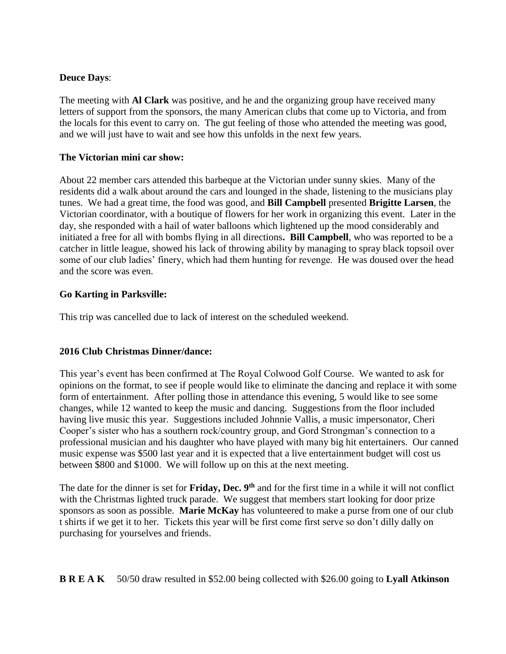# **Deuce Days**:

The meeting with **Al Clark** was positive, and he and the organizing group have received many letters of support from the sponsors, the many American clubs that come up to Victoria, and from the locals for this event to carry on. The gut feeling of those who attended the meeting was good, and we will just have to wait and see how this unfolds in the next few years.

# **The Victorian mini car show:**

About 22 member cars attended this barbeque at the Victorian under sunny skies. Many of the residents did a walk about around the cars and lounged in the shade, listening to the musicians play tunes. We had a great time, the food was good, and **Bill Campbell** presented **Brigitte Larsen**, the Victorian coordinator, with a boutique of flowers for her work in organizing this event. Later in the day, she responded with a hail of water balloons which lightened up the mood considerably and initiated a free for all with bombs flying in all directions**. Bill Campbell**, who was reported to be a catcher in little league, showed his lack of throwing ability by managing to spray black topsoil over some of our club ladies' finery, which had them hunting for revenge. He was doused over the head and the score was even.

## **Go Karting in Parksville:**

This trip was cancelled due to lack of interest on the scheduled weekend.

# **2016 Club Christmas Dinner/dance:**

This year's event has been confirmed at The Royal Colwood Golf Course. We wanted to ask for opinions on the format, to see if people would like to eliminate the dancing and replace it with some form of entertainment. After polling those in attendance this evening, 5 would like to see some changes, while 12 wanted to keep the music and dancing. Suggestions from the floor included having live music this year. Suggestions included Johnnie Vallis, a music impersonator, Cheri Cooper's sister who has a southern rock/country group, and Gord Strongman's connection to a professional musician and his daughter who have played with many big hit entertainers. Our canned music expense was \$500 last year and it is expected that a live entertainment budget will cost us between \$800 and \$1000. We will follow up on this at the next meeting.

The date for the dinner is set for **Friday, Dec. 9th** and for the first time in a while it will not conflict with the Christmas lighted truck parade. We suggest that members start looking for door prize sponsors as soon as possible. **Marie McKay** has volunteered to make a purse from one of our club t shirts if we get it to her. Tickets this year will be first come first serve so don't dilly dally on purchasing for yourselves and friends.

**B R E A K** 50/50 draw resulted in \$52.00 being collected with \$26.00 going to **Lyall Atkinson**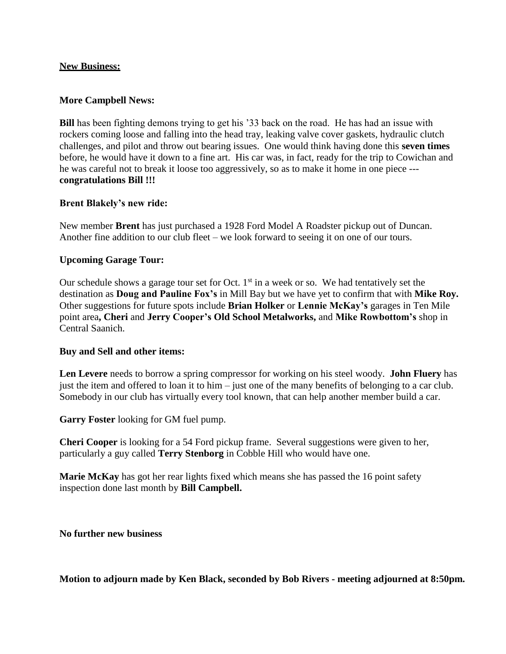### **New Business:**

#### **More Campbell News:**

**Bill** has been fighting demons trying to get his '33 back on the road. He has had an issue with rockers coming loose and falling into the head tray, leaking valve cover gaskets, hydraulic clutch challenges, and pilot and throw out bearing issues. One would think having done this **seven times** before, he would have it down to a fine art. His car was, in fact, ready for the trip to Cowichan and he was careful not to break it loose too aggressively, so as to make it home in one piece -- **congratulations Bill !!!**

#### **Brent Blakely's new ride:**

New member **Brent** has just purchased a 1928 Ford Model A Roadster pickup out of Duncan. Another fine addition to our club fleet – we look forward to seeing it on one of our tours.

#### **Upcoming Garage Tour:**

Our schedule shows a garage tour set for Oct.  $1<sup>st</sup>$  in a week or so. We had tentatively set the destination as **Doug and Pauline Fox's** in Mill Bay but we have yet to confirm that with **Mike Roy.**  Other suggestions for future spots include **Brian Holker** or **Lennie McKay's** garages in Ten Mile point area**, Cheri** and **Jerry Cooper's Old School Metalworks,** and **Mike Rowbottom's** shop in Central Saanich.

#### **Buy and Sell and other items:**

**Len Levere** needs to borrow a spring compressor for working on his steel woody. **John Fluery** has just the item and offered to loan it to him – just one of the many benefits of belonging to a car club. Somebody in our club has virtually every tool known, that can help another member build a car.

**Garry Foster** looking for GM fuel pump.

**Cheri Cooper** is looking for a 54 Ford pickup frame. Several suggestions were given to her, particularly a guy called **Terry Stenborg** in Cobble Hill who would have one.

**Marie McKay** has got her rear lights fixed which means she has passed the 16 point safety inspection done last month by **Bill Campbell.**

#### **No further new business**

**Motion to adjourn made by Ken Black, seconded by Bob Rivers - meeting adjourned at 8:50pm.**